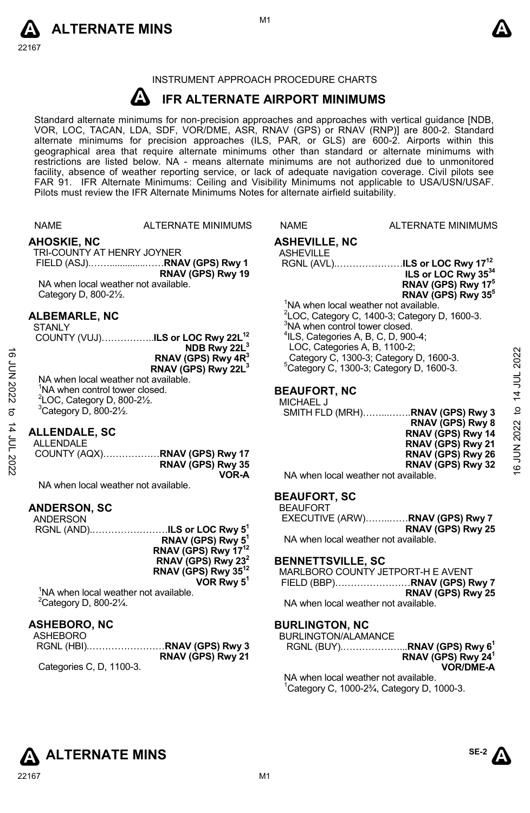



# INSTRUMENT APPROACH PROCEDURE CHARTS

#### **A IFR ALTERNATE AIRPORT MINIMUMS**

Standard alternate minimums for non-precision approaches and approaches with vertical guidance [NDB,<br>VOR, LOC, TACAN, LDA, SDF, VOR/DME, ASR, RNAV (GPS) or RNAV (RNP)] are 800-2. Standard<br>alternate minimums for precision a geographical area that require alternate minimums other than standard or alternate minimums with restrictions are listed below. NA - means alternate minimums are not authorized due to unmonitored facility, absence of weather reporting service, or lack of adequate navigation coverage. Civil pilots see FAR 91. IFR Alternate Minimums: Ceiling and Visibility Minimums not applicable to USA/USN/USAF. Pilots must review the IFR Alternate Minimums Notes for alternate airfield suitability.

|                 | <b>NAME</b>                                                                                                                          | <b>ALTERNATE MINIMUMS</b>                                                                                                                                                                         | <b>NAME</b>                                                                                                                                        | <b>ALTERNATE MINIMUMS</b>                                                                                                                                                                       |                        |
|-----------------|--------------------------------------------------------------------------------------------------------------------------------------|---------------------------------------------------------------------------------------------------------------------------------------------------------------------------------------------------|----------------------------------------------------------------------------------------------------------------------------------------------------|-------------------------------------------------------------------------------------------------------------------------------------------------------------------------------------------------|------------------------|
|                 | <b>AHOSKIE, NC</b><br>TRI-COUNTY AT HENRY JOYNER<br>NA when local weather not available.<br>Category D, 800-21/2.                    | FIELD (ASJ)RNAV (GPS) Rwy 1<br>RNAV (GPS) Rwy 19                                                                                                                                                  | <b>ASHEVILLE, NC</b><br><b>ASHEVILLE</b>                                                                                                           | RGNL (AVL) <b>ILS or LOC Rwy 17<sup>12</sup></b><br>ILS or LOC Rwy 3534<br>RNAV (GPS) Rwy 17 <sup>5</sup><br>RNAV (GPS) Rwy 35 <sup>5</sup>                                                     |                        |
| <b>JUN 2022</b> | <b>ALBEMARLE, NC</b><br><b>STANLY</b><br>NA when local weather not available.                                                        | COUNTY (VUJ)ILS or LOC Rwy 22L <sup>12</sup><br>NDB Rwy 22L <sup>3</sup><br>RNAV (GPS) Rwy 4R <sup>3</sup><br>RNAV (GPS) Rwy 22L <sup>3</sup>                                                     | <sup>3</sup> NA when control tower closed.<br>$4$ ILS, Categories A, B, C, D, 900-4;<br>LOC, Categories A, B, 1100-2;                              | <sup>1</sup> NA when local weather not available.<br>$2$ LOC, Category C, 1400-3; Category D, 1600-3.<br>Category C, 1300-3; Category D, 1600-3.<br>$5$ Category C, 1300-3; Category D, 1600-3. | 2022                   |
| ಕ               | <sup>1</sup> NA when control tower closed.<br>$2$ LOC, Category D, 800-2 $\frac{1}{2}$ .<br>$3$ Category D, 800-2 $\frac{1}{2}$ .    |                                                                                                                                                                                                   | <b>BEAUFORT, NC</b><br>MICHAEL J                                                                                                                   | SMITH FLD (MRH)RNAV (GPS) Rwy 3                                                                                                                                                                 | 14 JUL<br>$\mathbf{c}$ |
| 14 JUL 2022     | <b>ALLENDALE, SC</b><br>ALLENDALE<br>NA when local weather not available.                                                            | RNAV (GPS) Rwy 35<br>VOR-A                                                                                                                                                                        | NA when local weather not available.                                                                                                               | RNAV (GPS) Rwy 8<br>RNAV (GPS) Rwy 14<br>RNAV (GPS) Rwy 21<br>RNAV (GPS) Rwy 26<br>RNAV (GPS) Rwy 32                                                                                            | 2022<br>Ę<br><u>ٰ</u>  |
|                 | <b>ANDERSON, SC</b><br><b>ANDERSON</b><br><sup>1</sup> NA when local weather not available.<br>$2$ Category D, 800-2 $\frac{1}{4}$ . | RGNL (AND)ILS or LOC Rwy 5 <sup>1</sup><br>RNAV (GPS) Rwy 5 <sup>1</sup><br>RNAV (GPS) Rwy 17 <sup>12</sup><br>RNAV (GPS) Rwy $23^2$<br>RNAV (GPS) Rwy 35 <sup>12</sup><br>VOR Rwy 5 <sup>1</sup> | <b>BEAUFORT, SC</b><br><b>BEAUFORT</b><br>NA when local weather not available.<br><b>BENNETTSVILLE, SC</b><br>NA when local weather not available. | EXECUTIVE (ARW)RNAV (GPS) Rwy 7<br>RNAV (GPS) Rwy 25<br>MARLBORO COUNTY JETPORT-H E AVENT<br>RNAV (GPS) Rwy 25                                                                                  |                        |
|                 | <b>ASHEBORO, NC</b><br><b>ASHEBORO</b><br>Categories C, D, 1100-3.                                                                   | RNAV (GPS) Rwy 21                                                                                                                                                                                 | <b>BURLINGTON, NC</b><br><b>BURLINGTON/ALAMANCE</b>                                                                                                | RGNL (BUY)RNAV (GPS) Rwy 6 <sup>1</sup><br>RNAV (GPS) Rwy 24 <sup>1</sup><br><b>VOR/DME-A</b>                                                                                                   |                        |

NA when local weather not available. 1 Category C, 1000-2¾, Category D, 1000-3.

# **ALTERNATE MINS**

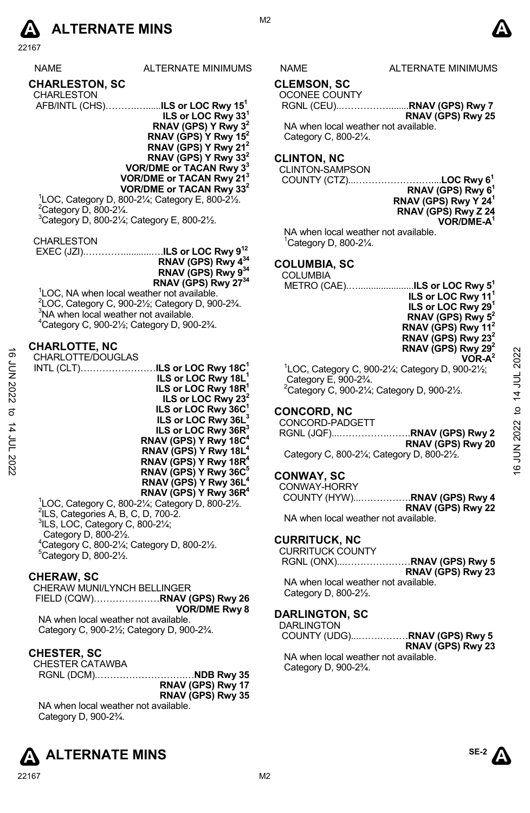

NAME ALTERNATE MINIMUMS NAME ALTERNATE MINIMUMS

# **CHARLESTON, SC**

| <b>CHARLESTON</b>                            |  |  |
|----------------------------------------------|--|--|
| AFB/INTL (CHS)ILS or LOC Rwy 15 <sup>1</sup> |  |  |
|                                              |  |  |

**ILS or LOC Rwy 331 RNAV (GPS) Y Rwy 32 RNAV (GPS) Y Rwy 152 RNAV (GPS) Y Rwy 212 RNAV (GPS) Y Rwy 332 VOR/DME or TACAN Rwy 33 VOR/DME or TACAN Rwy 213 VOR/DME or TACAN Rwy 332**

 $1$ LOC, Category D, 800-2¼; Category E, 800-2½.<br><sup>2</sup>Category D, 800-21⁄ <sup>2</sup>Category D, 800-21/4. 3 Category D, 800-2¼; Category E, 800-2½.

CHARLESTON

 EXEC (JZI).…………...........….**ILS or LOC Rwy 912 RNAV (GPS) Rwy 434 RNAV (GPS) Rwy 934 RNAV (GPS) Rwy 2734** 

<sup>1</sup>LOC, NA when local weather not available.  $2^2$ LOC, Category C, 900-2½; Category D, 900-2¾.  $3$ NA when local weather not available. 4 Category C, 900-2½; Category D, 900-2¾.

# **CHARLOTTE, NC**

CHARLOTTE/DOUGLAS INTL (CLT)……………………**ILS or LOC Rwy 18C1 ILS or LOC Rwy 18L1 ILS or LOC Rwy 18R<sup>1</sup> ILS or LOC Rwy 232 ILS or LOC Rwy 36C1 ILS or LOC Rwy 36L3 ILS or LOC Rwy 36R3 RNAV (GPS) Y Rwy 18C4 RNAV (GPS) Y Rwy 18L RNAV (GPS) Y Rwy 18R4 RNAV (GPS) Y Rwy 36C5 RNAV (GPS) Y Rwy 36L4 RNAV (GPS) Y Rwy 36R4**  CHARLOTTE/DOUGLAS<br>  $\frac{16}{5}$  CHARLOTTE/DOUGLAS<br>
ILS or LOC Rwy 18C<sup>1</sup><br>
ILS or LOC Rwy 18R<sup>1</sup><br>
ILS or LOC Rwy 18R<sup>1</sup><br>
ILS or LOC Rwy 18R<sup>1</sup><br>
ILS or LOC Rwy 38<sup>2</sup><br>
ILS or LOC Rwy 38<sup>2</sup><br>
ILS or LOC Rwy 38<sup>2</sup><br>
ILS or LOC Rwy

<sup>1</sup>LOC, Category C, 800-2¼; Category D, 800-2½.<br><sup>2</sup>ILS, Categories A, B, C, D, 700-2.<br><sup>3</sup>ILS, LOC, Cetegory C, 800, 21⁄.  $3$ ILS, LOC, Category C, 800-2 $\frac{1}{4}$ ; Category D, 800-2½. 4 Category C, 800-2¼; Category D, 800-2½.  $5$ Category D, 800-2 $\frac{1}{2}$ .

#### **CHERAW, SC**

CHERAW MUNI/LYNCH BELLINGER FIELD (CQW)…………………**RNAV (GPS) Rwy 26 VOR/DME Rwy 8** 

NA when local weather not available. Category C, 900-2½; Category D, 900-2¾.

#### **CHESTER, SC**

CHESTER CATAWBA

RGNL (DCM).……………………….…**NDB Rwy 35 RNAV (GPS) Rwy 17 RNAV (GPS) Rwy 35** NA when local weather not available. Category D, 900-2¾.





**CLEMSON, SC** 

M<sub>2</sub>

OCONEE COUNTY

 RGNL (CEU)..……………........**RNAV (GPS) Rwy 7 RNAV (GPS) Rwy 25**

NA when local weather not available. Category C, 800-2¼.

# **CLINTON, NC**

CLINTON-SAMPSON

 COUNTY (CTZ)...……………………....**LOC Rwy 61 RNAV (GPS) Rwy 61 RNAV (GPS) Rwy Y 241 RNAV (GPS) Rwy Z 24 VOR/DME-A1** 

NA when local weather not available. 1 Category D, 800-2¼.

# **COLUMBIA, SC**

 COLUMBIA METRO (CAE).…......................**ILS or LOC Rwy 51**

**ILS or LOC Rwy 111 ILS or LOC Rwy 291 RNAV (GPS) Rwy 52 RNAV (GPS) Rwy 112 RNAV (GPS) Rwy 232 RNAV (GPS) Rwy 292 VOR-A2**  1 LOC, Category C, 900-2¼; Category D, 900-2½; Category E, 900-2¾.

 $^{2}$ Category C, 900-21⁄<sub>4</sub>; Category D, 900-21⁄<sub>2</sub>.

# **CONCORD, NC**

CONCORD-PADGETT RGNL (JQF)...…………….…….**RNAV (GPS) Rwy 2 RNAV (GPS) Rwy 20**  Category C, 800-2¼; Category D, 800-2½.

# **CONWAY, SC**

CONWAY-HORRY COUNTY (HYW)...…………….**RNAV (GPS) Rwy 4 RNAV (GPS) Rwy 22** 

NA when local weather not available.

#### **CURRITUCK, NC**

CURRITUCK COUNTY RGNL (ONX)...…………………**RNAV (GPS) Rwy 5** 

**RNAV (GPS) Rwy 23**  NA when local weather not available.

Category D, 800-2½.

#### **DARLINGTON, SC**

DARLINGTON COUNTY (UDG)...…….………**RNAV (GPS) Rwy 5 RNAV (GPS) Rwy 23**  NA when local weather not available. Category D, 900-2¾.

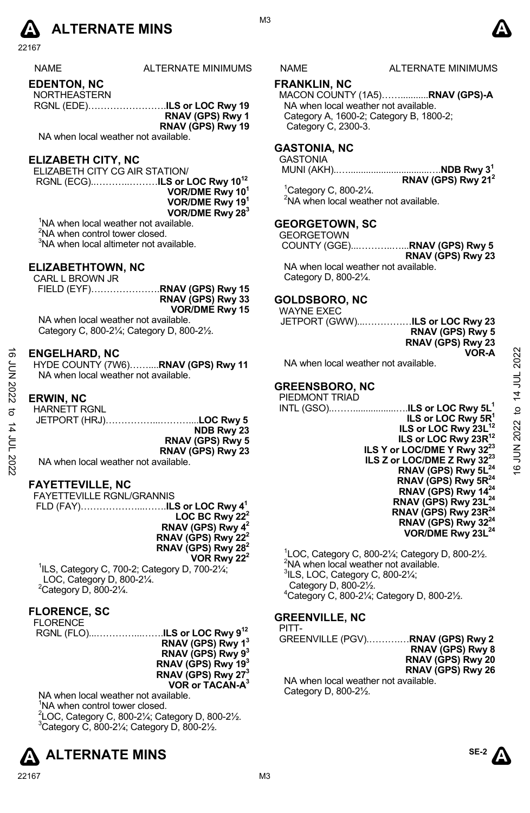

| <b>NAME</b> | <b>ALTERNATE MINIMUMS</b> |
|-------------|---------------------------|
|             |                           |

**EDENTON, NC** 

| <b>NORTHEASTERN</b> |                   |
|---------------------|-------------------|
|                     |                   |
|                     | RNAV (GPS) Rwy 1  |
|                     | RNAV (GPS) Rwy 19 |

NA when local weather not available.

# **ELIZABETH CITY, NC**

ELIZABETH CITY CG AIR STATION/ RGNL (ECG)..………..………**ILS or LOC Rwy 1012 VOR/DME Rwy 101 VOR/DME Rwy 191 VOR/DME Rwy 283**

<sup>1</sup>NA when local weather not available.

<sup>2</sup>NA when control tower closed.

<sup>3</sup>NA when local altimeter not available.

#### **ELIZABETHTOWN, NC**

CARL L BROWN JR

FIELD (EYF)………………….**RNAV (GPS) Rwy 15 RNAV (GPS) Rwy 33 VOR/DME Rwy 15** 

NA when local weather not available. Category C, 800-2¼; Category D, 800-2½.

#### **ENGELHARD, NC**

HYDE COUNTY (7W6)……....**RNAV (GPS) Rwy 11** NA when local weather not available.

# **ERWIN, NC**

|                        | <b>HARNETT RGNL</b> |  |
|------------------------|---------------------|--|
| JETPORT (HRJ)LOC Rwy 5 |                     |  |
| NDB Rwy 23             |                     |  |
| RNAV (GPS) Rwy 5       |                     |  |
| RNAV (GPS) Rwy 23      |                     |  |
|                        |                     |  |

NA when local weather not available.

#### **FAYETTEVILLE, NC**

| <b>FAYETTEVILLE RGNL/GRANNIS</b> |
|----------------------------------|
|                                  |
| LOC BC Rwy 22 <sup>2</sup>       |
| RNAV (GPS) Rwy 4 <sup>2</sup>    |
| RNAV (GPS) Rwy 22 <sup>2</sup>   |
| RNAV (GPS) Rwy $28^2$            |
| VOR Rwy 22 <sup>2</sup>          |

1 ILS, Category C, 700-2; Category D, 700-2¼; LOC, Category D, 800-2¼.  $2$ Category D, 800-2 $\frac{1}{4}$ .

# **FLORENCE, SC**

| RNAV (GPS) Rwy 1 <sup>3</sup>  |
|--------------------------------|
| RNAV (GPS) Rwy 93              |
| RNAV (GPS) Rwy 193             |
| RNAV (GPS) Rwy 27 <sup>3</sup> |
| VOR or TACAN-A <sup>3</sup>    |
|                                |

NA when local weather not available. <sup>1</sup>NA when control tower closed. <sup>2</sup>LOC, Category C, 800-2¼; Category D, 800-2½.<br><sup>3</sup>Category C, 800, 21/: Category D, 800, 21/  $3$ Category C, 800-2 $\frac{1}{4}$ ; Category D, 800-2 $\frac{1}{2}$ .





#### **FRANKLIN, NC**

MACON COUNTY (1A5)……...........**RNAV (GPS)-A**  NA when local weather not available. Category A, 1600-2; Category B, 1800-2; Category C, 2300-3.

### **GASTONIA, NC**

**GASTONIA** 

 MUNI (AKH)..…................................….**NDB Rwy 31 RNAV (GPS) Rwy 212** 

1 Category C, 800-2¼. <sup>2</sup>NA when local weather not available.

# **GEORGETOWN, SC**

**GEORGETOWN**  COUNTY (GGE)...………..…...**RNAV (GPS) Rwy 5 RNAV (GPS) Rwy 23**  NA when local weather not available. Category D, 800-2¼.

# **GOLDSBORO, NC**

WAYNE EXEC **JETPORT (GWW).....** 

NA when local weather not available.

### **GREENSBORO, NC**

PIEDMONT TRIAD INTL (GSO)..…….................….**ILS or LOC Rwy 5L1 ILS or LOC Rwy 5R1 ILS or LOC Rwy 23L<sup>12</sup> ILS or LOC Rwy 23R12 ILS Y or LOC/DME Y Rwy 3223 ILS Z or LOC/DME Z Rwy 3223 RNAV (GPS) Rwy 5L24 RNAV (GPS) Rwy 5R24 RNAV (GPS) Rwy 1424 RNAV (GPS) Rwy 23L24 RNAV (GPS) Rwy 23R24 RNAV (GPS) Rwy 3224 VOR/DME Rwy 23L24**  16 JUN 2022 to 14 JUL 202216 JUN 2022 to 14 JUL 2022

> $1$ LOC, Category C, 800-21/<sub>4</sub>; Category D, 800-21/<sub>2</sub>. <sup>2</sup>NA when local weather not available.  $3$ ILS, LOC, Category C, 800-2 $\frac{1}{4}$ ; Category D, 800-2½. 4 Category C, 800-2¼; Category D, 800-2½.

# **GREENVILLE, NC**

PITT-GREENVILLE (PGV).……….…**RNAV (GPS) Rwy 2 RNAV (GPS) Rwy 8 RNAV (GPS) Rwy 20 RNAV (GPS) Rwy 26** 

NA when local weather not available. Category D, 800-2½.

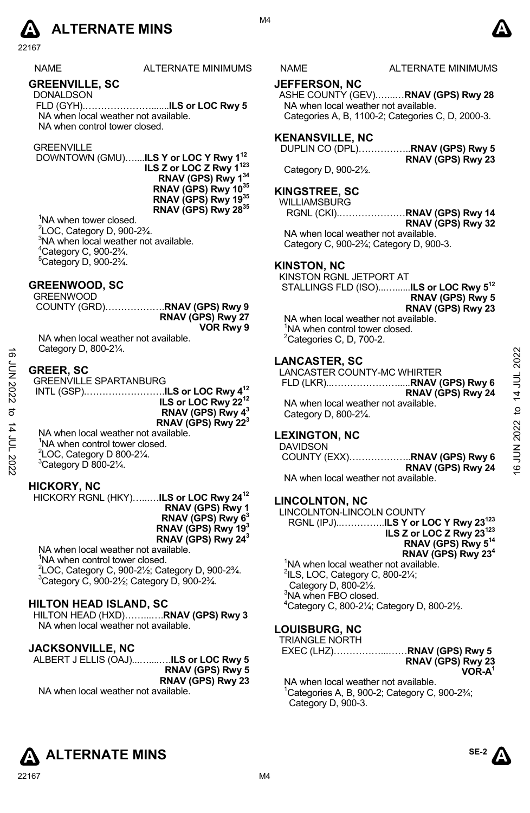

NAME ALTERNATE MINIMUMS NAME ALTERNATE MINIMUMS

### **GREENVILLE, SC**

DONALDSON FLD (GYH).………………….......**ILS or LOC Rwy 5**  NA when local weather not available. NA when control tower closed.

#### **GREENVILLE**

 DOWNTOWN (GMU)…....**ILS Y or LOC Y Rwy 112 ILS Z or LOC Z Rwy 1123 RNAV (GPS) Rwy 134 RNAV (GPS) Rwy 1035 RNAV (GPS) Rwy 1935 RNAV (GPS) Rwy 2835** 

<sup>1</sup>NA when tower closed. 2 LOC, Category D, 900-2¾. <sup>3</sup>NA when local weather not available.  $^{4}$ Category C, 900-2 $\frac{3}{4}$ .  $5$ Category D, 900-2 $\frac{3}{4}$ .

### **GREENWOOD, SC**

|                   |  |  | GREENWOOD |
|-------------------|--|--|-----------|
|                   |  |  |           |
| RNAV (GPS) Rwy 27 |  |  |           |
| VOR Rwy 9         |  |  |           |
|                   |  |  | .         |

NA when local weather not available. Category D, 800-2¼.

### **GREER, SC**

| ಹೆ          | Calegory D, $000-Z/4$ .                                                                                                                                        |                                                                                    |                       |
|-------------|----------------------------------------------------------------------------------------------------------------------------------------------------------------|------------------------------------------------------------------------------------|-----------------------|
| ξ<br>Σ      | <b>GREER, SC</b><br><b>GREENVILLE SPARTANBURG</b>                                                                                                              | <b>LANCASTER, SC</b><br>LANCASTER COUNTY-MC WHIRTER                                | 022<br>14 JUL         |
| <b>2022</b> | ILS or LOC Rwy 22 <sup>12</sup><br>RNAV (GPS) Rwy 4 <sup>3</sup><br>RNAV (GPS) Rwy 22 <sup>3</sup>                                                             | RNAV (GPS) Rwy 24<br>NA when local weather not available.<br>Category D, 800-21/4. | ೆ                     |
| 14 JUL 2022 | NA when local weather not available.<br><sup>1</sup> NA when control tower closed.<br>$^{2}$ LOC, Category D 800-2 $\frac{1}{4}$ .<br>$3$ Category D 800-21/4. | <b>LEXINGTON, NC</b><br><b>DAVIDSON</b><br>RNAV (GPS) Rwy 24                       | 2022<br><b>NOT 91</b> |

# **HICKORY, NC**

HICKORY RGNL (HKY)…...…**ILS or LOC Rwy 2412 RNAV (GPS) Rwy 1 RNAV (GPS) Rwy 63 RNAV (GPS) Rwy 193 RNAV (GPS) Rwy 243**  NA when local weather not available.

<sup>1</sup>NA when control tower closed. <sup>2</sup> LOC, Category C, 900-2<sup>1</sup>/<sub>2</sub>; Category D, 900-2<sup>3</sup>/<sub>4</sub>.<br><sup>3</sup> Category C, 900, 31/<sub>1</sub>: Category D, 900, 3<sup>3</sup>/  $3$ Category C, 900-2 $\frac{1}{2}$ ; Category D, 900-2 $\frac{3}{4}$ .

### **HILTON HEAD ISLAND, SC**

HILTON HEAD (HXD)……...….**RNAV (GPS) Rwy 3**  NA when local weather not available.

## **JACKSONVILLE, NC**

| ALBERT J ELLIS (OAJ) <b>ILS or LOC Rwy 5</b> |                         |
|----------------------------------------------|-------------------------|
|                                              | <b>RNAV (GPS) Rwy 5</b> |
|                                              | RNAV (GPS) Rwy 23       |
| NA when local weather not available          |                         |

22167 M4

NA when local weather not available.

# **JEFFERSON, NC**

ASHE COUNTY (GEV).…...…**RNAV (GPS) Rwy 28**  NA when local weather not available. Categories A, B, 1100-2; Categories C, D, 2000-3.

#### **KENANSVILLE, NC**

DUPLIN CO (DPL)……………..**RNAV (GPS) Rwy 5** 

Category D, 900-2½.

# **KINGSTREE, SC**

WILLIAMSBURG

RGNL (CKI).…………………**RNAV (GPS) Rwy 14 RNAV (GPS) Rwy 32**  NA when local weather not available.

Category C, 900-2¾; Category D, 900-3.

#### **KINSTON, NC**

KINSTON RGNL JETPORT AT STALLINGS FLD (ISO)...…......**ILS or LOC Rwy 512**

**RNAV (GPS) Rwy 5 RNAV (GPS) Rwy 23** 

**RNAV (GPS) Rwy 23** 

NA when local weather not available. <sup>1</sup>NA when control tower closed.  ${}^{2}$ Categories C, D, 700-2.

# **LANCASTER, SC**

#### **LEXINGTON, NC**

COUNTY (EXX)………………..**RNAV (GPS) Rwy 6 RNAV (GPS) Rwy 24**  NA when local weather not available.

#### **LINCOLNTON, NC**

LINCOLNTON-LINCOLN COUNTY RGNL (IPJ)..…………..**ILS Y or LOC Y Rwy 23123 ILS Z or LOC Z Rwy 23123 RNAV (GPS) Rwy 514 RNAV (GPS) Rwy 234** 

<sup>1</sup>NA when local weather not available.  $2$ ILS, LOC, Category C, 800-2 $\frac{1}{4}$ ; Category D, 800-2½. <sup>3</sup>NA when FBO closed. 4 Category C, 800-2¼; Category D, 800-2½.

#### **LOUISBURG, NC**  TRIANGLE NORTH

| <b>IINAINOLL INOIVIII</b> |                   |
|---------------------------|-------------------|
|                           |                   |
|                           | RNAV (GPS) Rwy 23 |
|                           | $VOR-A1$          |

NA when local weather not available. 1 Categories A, B, 900-2; Category C, 900-2¾; Category D, 900-3.

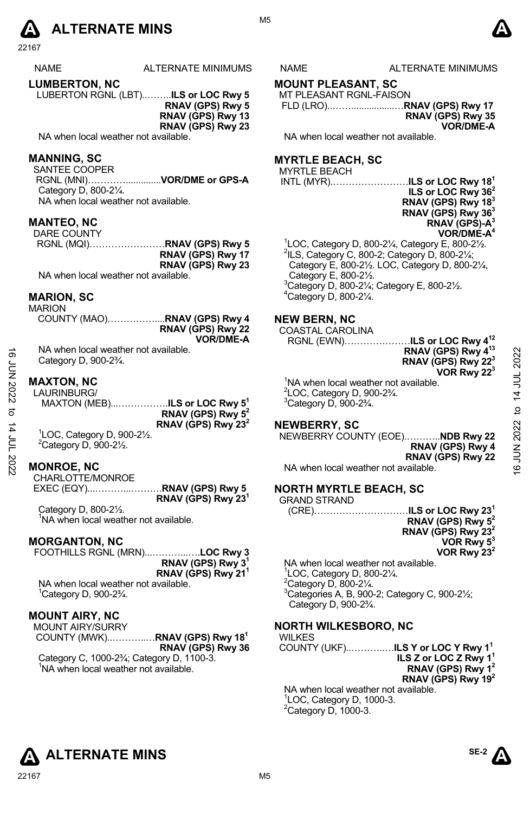# **A** ALTERNATE MINS  $\bullet$

22167

| <b>NAME</b> | <b>ALTERNATE MINIMUI</b> |
|-------------|--------------------------|
|             |                          |

**LUMBERTON, NC** 

LUBERTON RGNL (LBT)..……..**ILS or LOC Rwy 5 RNAV (GPS) Rwy 5** 

**RNAV (GPS) Rwy 13 RNAV (GPS) Rwy 23** 

NA when local weather not available.

# **MANNING, SC**

SANTEE COOPER

 RGNL (MNI)…………..............**VOR/DME or GPS-A**  Category D, 800-2¼. NA when local weather not available.

**MANTEO, NC** 

| DARE COUNTY                         |                   |
|-------------------------------------|-------------------|
|                                     |                   |
|                                     | RNAV (GPS) Rwy 17 |
|                                     | RNAV (GPS) Rwy 23 |
| NA when local weather not available |                   |

NA when local weather not available.

# **MARION, SC**

MARION

| RNAV (GPS) Rwy 22 |
|-------------------|
| <b>VOR/DME-A</b>  |

NA when local weather not available. Category D, 900-2¾.

### **MAXTON, NC**

LAURINBURG/ MAXTON (MEB)...…………….**ILS or LOC Rwy 51 RNAV (GPS) Rwy 52 RNAV (GPS) Rwy 232**  1 LOC, Category D, 900-2½. 16 JUN 2022 to 14 JUL 202216 JUN 2022 to 14 JUL 2022

 $2$ Category D, 900-2 $\frac{1}{2}$ .

# **MONROE, NC**

CHARLOTTE/MONROE EXEC (EQY)...………...……….**RNAV (GPS) Rwy 5 RNAV (GPS) Rwy 231**

Category D, 800-2½. <sup>1</sup>NA when local weather not available.

#### **MORGANTON, NC**

FOOTHILLS RGNL (MRN)...………...….**LOC Rwy 3 RNAV (GPS) Rwy 31 RNAV (GPS) Rwy 211** 

NA when local weather not available. 1 Category D, 900-2¾.

# **MOUNT AIRY, NC**

MOUNT AIRY/SURRY COUNTY (MWK)..………..…**RNAV (GPS) Rwy 181 RNAV (GPS) Rwy 36**  Category C, 1000-2¾; Category D, 1100-3. <sup>1</sup>NA when local weather not available.

# MS NAME ALTERNATE MINIMUMS

# **MOUNT PLEASANT, SC**

MT PLEASANT RGNL-FAISON FLD (LRO)..…….................…**RNAV (GPS) Rwy 17 RNAV (GPS) Rwy 35** 

**VOR/DME-A** 

NA when local weather not available.

# **MYRTLE BEACH, SC**

# MYRTLE BEACH

INTL (MYR).……………………**ILS or LOC Rwy 181** 

**ILS or LOC Rwy 362 RNAV (GPS) Rwy 183 RNAV (GPS) Rwy 363 RNAV (GPS)-A3 VOR/DME-A4**  <sup>1</sup>LOC, Category D, 800-2¼, Category E, 800-2½.<br><sup>2</sup>ll S, Category C, 800-2; Category D, 800-21/;  $2$ ILS, Category C, 800-2; Category D, 800-2 $\frac{1}{4}$ ; Category E, 800-2½. LOC, Category D, 800-2¼, Category E, 800-2½. 3 Category D, 800-2¼; Category E, 800-2½.  $4$ Category D, 800-2 $\frac{1}{4}$ .

# **NEW BERN, NC**

COASTAL CAROLINA

RGNL (EWN)…………………**ILS or LOC Rwy 412** 

**RNAV (GPS) Rwy 413 RNAV (GPS) Rwy 223 VOR Rwy 223** 

<sup>1</sup>NA when local weather not available.  $2^2$ LOC, Category D, 900-2 $\frac{3}{4}$ .  $3$ Category D, 900-2 $\frac{3}{4}$ .

#### **NEWBERRY, SC**

NEWBERRY COUNTY (EOE).………..**NDB Rwy 22 RNAV (GPS) Rwy 4 RNAV (GPS) Rwy 22**  NA when local weather not available.

# **NORTH MYRTLE BEACH, SC**

| <b>GRAND STRAND</b>                  |                                |
|--------------------------------------|--------------------------------|
|                                      |                                |
|                                      | RNAV (GPS) Rwy 5 <sup>2</sup>  |
|                                      | RNAV (GPS) Rwy 23 <sup>2</sup> |
|                                      | VOR Rwy $5^3$                  |
|                                      | VOR Rwy $23^2$                 |
| NA when local weather not available. |                                |

 LOC, Category D, 800-2¼. Category D, 800-2 $\frac{1}{4}$ . Categories A, B, 900-2; Category C, 900-2½; Category D, 900-2¾.

# **NORTH WILKESBORO, NC**

WILKES COUNTY (UKF)..………..…**ILS Y or LOC Y Rwy 11 ILS Z or LOC Z Rwy 11 RNAV (GPS) Rwy 12 RNAV (GPS) Rwy 192**  NA when local weather not available. 1 LOC, Category D, 1000-3.  $2$ Category D, 1000-3.

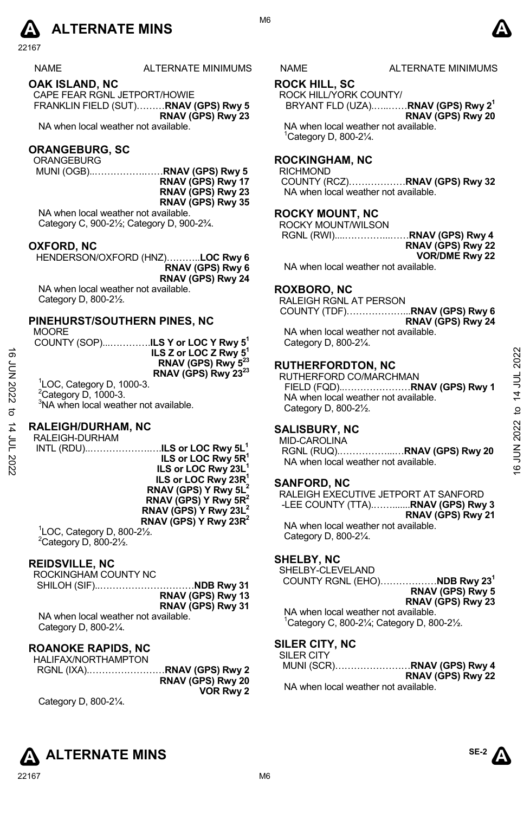### NAME ALTERNATE MINIMUMS NAME ALTERNATE MINIMUMS

#### **OAK ISLAND, NC**

CAPE FEAR RGNL JETPORT/HOWIE FRANKLIN FIELD (SUT)………**RNAV (GPS) Rwy 5 RNAV (GPS) Rwy 23** 

NA when local weather not available.

### **ORANGEBURG, SC**

ORANGEBURG

 MUNI (OGB)..…………….……**RNAV (GPS) Rwy 5 RNAV (GPS) Rwy 17 RNAV (GPS) Rwy 23 RNAV (GPS) Rwy 35** 

NA when local weather not available. Category C, 900-2½; Category D, 900-2¾.

#### **OXFORD, NC**

HENDERSON/OXFORD (HNZ)………..**LOC Rwy 6 RNAV (GPS) Rwy 6 RNAV (GPS) Rwy 24**

NA when local weather not available. Category D, 800-2½.

#### **PINEHURST/SOUTHERN PINES, NC**

**MOORE** 

| ∟יושטויו<br>COUNTY (SOP) <b>.ILS Y or LOC Y Rwy 5</b> <sup>1</sup> |                                 |
|--------------------------------------------------------------------|---------------------------------|
|                                                                    | ILS Z or LOC Z Rwy $5^1$        |
|                                                                    | RNAV (GPS) Rwy 5 <sup>23</sup>  |
| $100$ Catagory D. $1000.2$                                         | RNAV (GPS) Rwy 23 <sup>23</sup> |

1 LOC, Category D, 1000-3.  $2$ Category D, 1000-3. <sup>3</sup>NA when local weather not available.

#### **RALEIGH/DURHAM, NC**

RALEIGH-DURHAM INTL (RDU)..……………….….**ILS or LOC Rwy 5L1 ILS or LOC Rwy 5R1 ILS or LOC Rwy 23L1 ILS or LOC Rwy 23R1 RNAV (GPS) Y Rwy 5L2 RNAV (GPS) Y Rwy 5R2 RNAV (GPS) Y Rwy 23L2 RNAV (GPS) Y Rwy 23R2** 

1 LOC, Category D, 800-2½.  $2$ Category D, 800-2 $\frac{1}{2}$ .

#### **REIDSVILLE, NC**

ROCKINGHAM COUNTY NC SHILOH (SIF)..…………………………**NDB Rwy 31 RNAV (GPS) Rwy 13 RNAV (GPS) Rwy 31** 

NA when local weather not available. Category D, 800-2¼.

# **ROANOKE RAPIDS, NC**

HALIFAX/NORTHAMPTON RGNL (IXA).……………………**RNAV (GPS) Rwy 2 RNAV (GPS) Rwy 20 VOR Rwy 2**  Category D, 800-2¼.



M6

# **ROCK HILL, SC**

ROCK HILL/YORK COUNTY/

BRYANT FLD (UZA).…..……**RNAV (GPS) Rwy 21 RNAV (GPS) Rwy 20** 

NA when local weather not available. 1 Category D, 800-2¼.

# **ROCKINGHAM, NC**

RICHMOND

COUNTY (RCZ)………………**RNAV (GPS) Rwy 32**  NA when local weather not available.

# **ROCKY MOUNT, NC**

ROCKY MOUNT/WILSON RGNL (RWI)....…………...……**RNAV (GPS) Rwy 4 RNAV (GPS) Rwy 22 VOR/DME Rwy 22**  NA when local weather not available.

### **ROXBORO, NC**

RALEIGH RGNL AT PERSON COUNTY (TDF)………………...**RNAV (GPS) Rwy 6 RNAV (GPS) Rwy 24**  NA when local weather not available. Category D, 800-2¼.

# **RUTHERFORDTON, NC**

RUTHERFORD CO/MARCHMAN FIELD (FQD)..…………………**RNAV (GPS) Rwy 1**  NA when local weather not available. Category D, 800-2½. 16<br>  $\frac{1}{2}$ <br>  $\frac{1}{2}$ <br>  $\frac{1}{2}$ <br>  $\frac{1}{2}$ <br>  $\frac{1}{2}$ <br>  $\frac{1}{2}$ <br>  $\frac{1}{2}$ <br>  $\frac{1}{2}$ <br>  $\frac{1}{2}$ <br>  $\frac{1}{2}$ <br>  $\frac{1}{2}$ <br>  $\frac{1}{2}$ <br>  $\frac{1}{2}$ <br>  $\frac{1}{2}$ <br>  $\frac{1}{2}$ <br>  $\frac{1}{2}$ <br>  $\frac{1}{2}$ <br>  $\frac{1}{2}$ <br>  $\frac{1}{2}$ <br>  $\frac{1}{2$ 

# **SALISBURY, NC**

MID-CAROLINA RGNL (RUQ).……………...…**RNAV (GPS) Rwy 20**  NA when local weather not available.

# **SANFORD, NC**

RALEIGH EXECUTIVE JETPORT AT SANFORD -LEE COUNTY (TTA).…….......**RNAV (GPS) Rwy 3 RNAV (GPS) Rwy 21** NA when local weather not available. Category D, 800-2¼.

#### **SHELBY, NC**

SHELBY-CLEVELAND COUNTY RGNL (EHO)………………**NDB Rwy 231**

**RNAV (GPS) Rwy 5 RNAV (GPS) Rwy 23** 

NA when local weather not available.  $1$ Category C, 800-2 $\frac{1}{4}$ ; Category D, 800-2 $\frac{1}{2}$ .

# **SILER CITY, NC**

| <b>SILER CITY</b> |                            |
|-------------------|----------------------------|
|                   | MUNI (SCR)RNAV (GPS) Rwy 4 |
|                   | RNAV (GPS) Rwy 22          |

NA when local weather not available.

**SE-2**